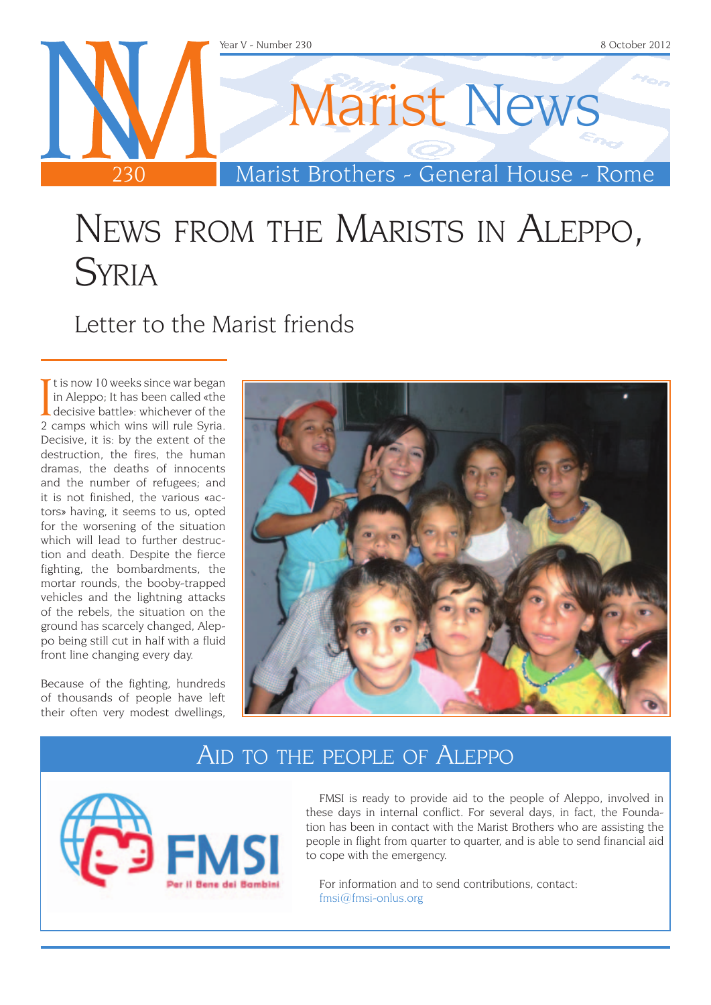

## News from the Marists in Aleppo, **SYRIA**

Letter to the Marist friends

It is now 10 weeks since war began<br>in Aleppo; It has been called «the<br>decisive battle»: whichever of the<br>2 camps which wins will rule Syria  $\blacksquare$  t is now 10 weeks since war began in Aleppo; It has been called «the 2 camps which wins will rule Syria. Decisive, it is: by the extent of the destruction, the fires, the human dramas, the deaths of innocents and the number of refugees; and it is not finished, the various «actors» having, it seems to us, opted for the worsening of the situation which will lead to further destruction and death. Despite the fierce fighting, the bombardments, the mortar rounds, the booby-trapped vehicles and the lightning attacks of the rebels, the situation on the ground has scarcely changed, Aleppo being still cut in half with a fluid front line changing every day.

Because of the fighting, hundreds of thousands of people have left their often very modest dwellings,



## Aid to the people of Aleppo



FMSI is ready to provide aid to the people of Aleppo, involved in these days in internal conflict. For several days, in fact, the Foundation has been in contact with the Marist Brothers who are assisting the people in flight from quarter to quarter, and is able to send financial aid to cope with the emergency.

For information and to send contributions, contact: [fmsi@fmsi-onlus.org](mailto:fmsi%40fmsi-onlus.org?subject=FMSI%20Siria)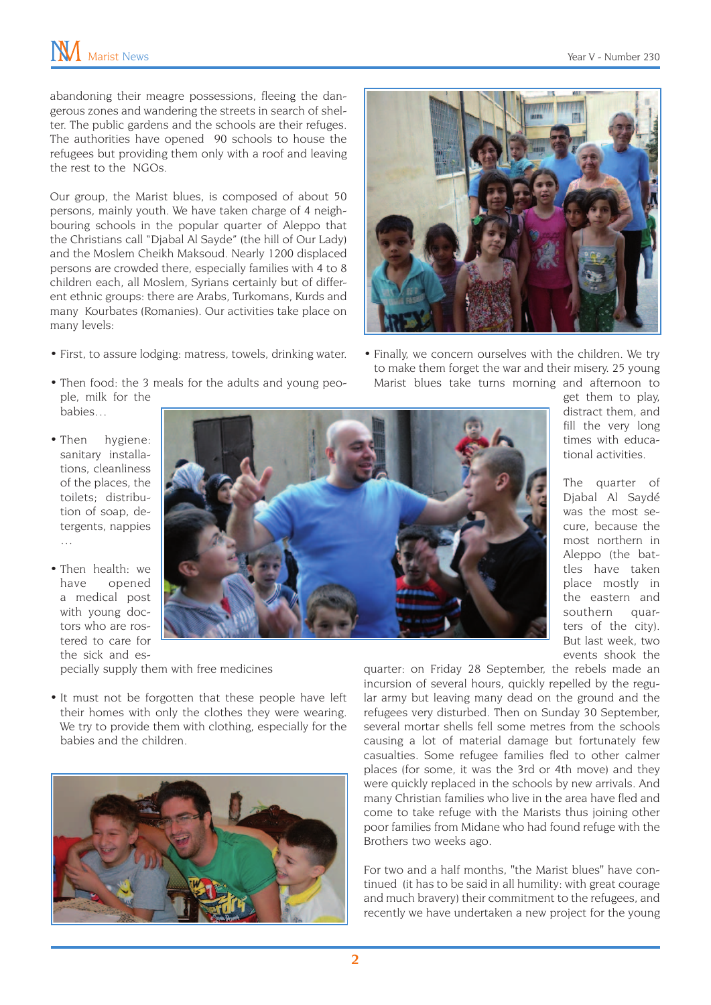abandoning their meagre possessions, fleeing the dangerous zones and wandering the streets in search of shelter. The public gardens and the schools are their refuges. The authorities have opened 90 schools to house the refugees but providing them only with a roof and leaving the rest to the NGOs.

Our group, the Marist blues, is composed of about 50 persons, mainly youth. We have taken charge of 4 neighbouring schools in the popular quarter of Aleppo that the Christians call "Djabal Al Sayde" (the hill of Our Lady) and the Moslem Cheikh Maksoud. Nearly 1200 displaced persons are crowded there, especially families with 4 to 8 children each, all Moslem, Syrians certainly but of different ethnic groups: there are Arabs, Turkomans, Kurds and many Kourbates (Romanies). Our activities take place on many levels:

- First, to assure lodging: matress, towels, drinking water.
- Then food: the 3 meals for the adults and young people, milk for the babies…



• Finally, we concern ourselves with the children. We try to make them forget the war and their misery. 25 young Marist blues take turns morning and afternoon to

- Then hygiene: sanitary installations, cleanliness of the places, the toilets; distribution of soap, detergents, nappies …
- Then health: we have opened a medical post with young doctors who are rostered to care for

the sick and especially supply them with free medicines

• It must not be forgotten that these people have left their homes with only the clothes they were wearing. We try to provide them with clothing, especially for the babies and the children.



get them to play, distract them, and fill the very long times with educational activities.

The quarter of Djabal Al Saydé was the most secure, because the most northern in Aleppo (the battles have taken place mostly in the eastern and southern quarters of the city). But last week, two events shook the

quarter: on Friday 28 September, the rebels made an incursion of several hours, quickly repelled by the regular army but leaving many dead on the ground and the refugees very disturbed. Then on Sunday 30 September, several mortar shells fell some metres from the schools causing a lot of material damage but fortunately few casualties. Some refugee families fled to other calmer places (for some, it was the 3rd or 4th move) and they were quickly replaced in the schools by new arrivals. And many Christian families who live in the area have fled and come to take refuge with the Marists thus joining other poor families from Midane who had found refuge with the Brothers two weeks ago.

For two and a half months, "the Marist blues" have continued (it has to be said in all humility: with great courage and much bravery) their commitment to the refugees, and recently we have undertaken a new project for the young